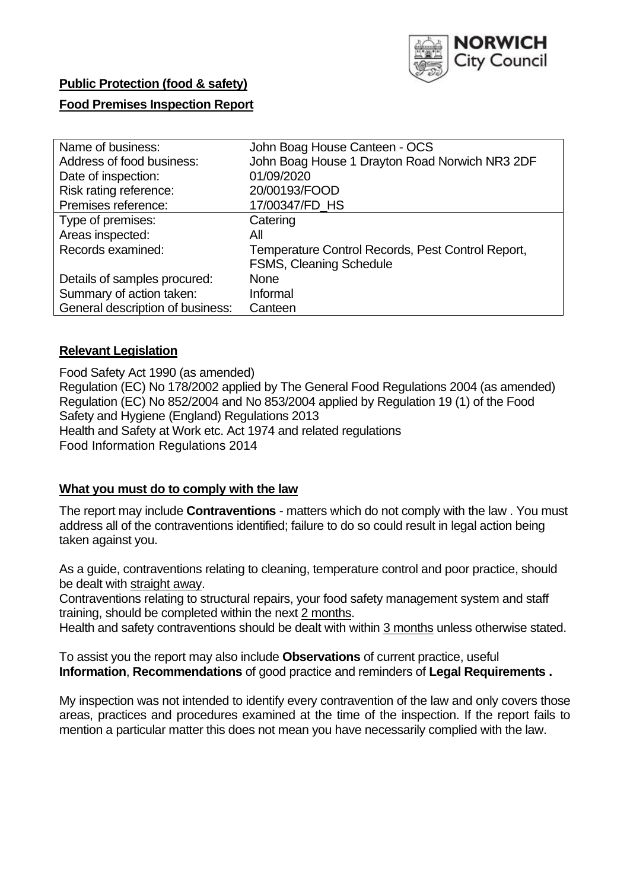

### **Public Protection (food & safety)**

### **Food Premises Inspection Report**

| Name of business:                | John Boag House Canteen - OCS                     |
|----------------------------------|---------------------------------------------------|
| Address of food business:        | John Boag House 1 Drayton Road Norwich NR3 2DF    |
| Date of inspection:              | 01/09/2020                                        |
| Risk rating reference:           | 20/00193/FOOD                                     |
| Premises reference:              | 17/00347/FD_HS                                    |
| Type of premises:                | Catering                                          |
| Areas inspected:                 | All                                               |
| Records examined:                | Temperature Control Records, Pest Control Report, |
|                                  | <b>FSMS, Cleaning Schedule</b>                    |
| Details of samples procured:     | <b>None</b>                                       |
| Summary of action taken:         | Informal                                          |
| General description of business: | Canteen                                           |

### **Relevant Legislation**

 Food Safety Act 1990 (as amended) Regulation (EC) No 178/2002 applied by The General Food Regulations 2004 (as amended) Regulation (EC) No 852/2004 and No 853/2004 applied by Regulation 19 (1) of the Food Safety and Hygiene (England) Regulations 2013 Health and Safety at Work etc. Act 1974 and related regulations Food Information Regulations 2014

### **What you must do to comply with the law**

 The report may include **Contraventions** - matters which do not comply with the law . You must address all of the contraventions identified; failure to do so could result in legal action being taken against you.

 As a guide, contraventions relating to cleaning, temperature control and poor practice, should be dealt with straight away.

 Contraventions relating to structural repairs, your food safety management system and staff training, should be completed within the next 2 months.

Health and safety contraventions should be dealt with within 3 months unless otherwise stated.

 To assist you the report may also include **Observations** of current practice, useful **Information**, **Recommendations** of good practice and reminders of **Legal Requirements .** 

 My inspection was not intended to identify every contravention of the law and only covers those areas, practices and procedures examined at the time of the inspection. If the report fails to mention a particular matter this does not mean you have necessarily complied with the law.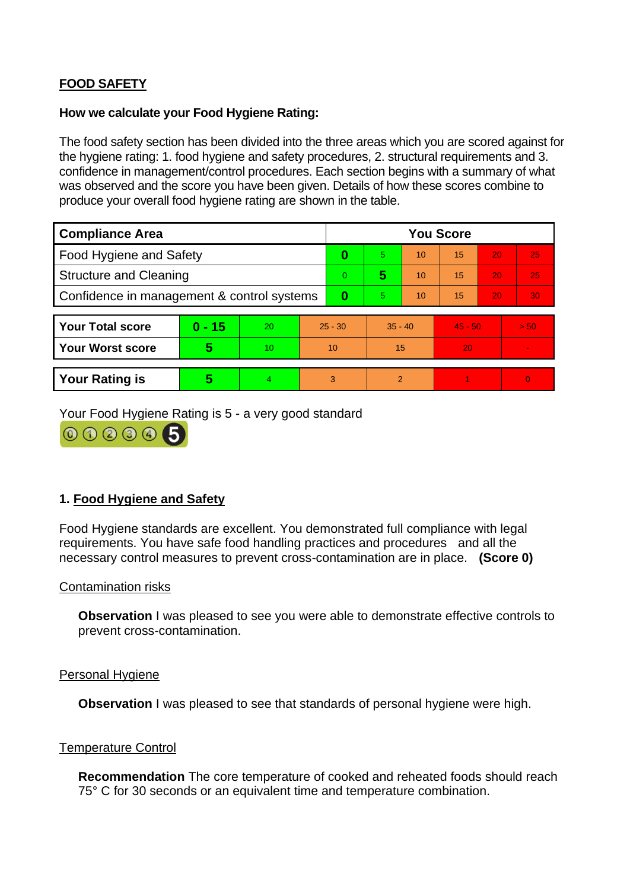# **FOOD SAFETY**

#### **How we calculate your Food Hygiene Rating:**

 The food safety section has been divided into the three areas which you are scored against for the hygiene rating: 1. food hygiene and safety procedures, 2. structural requirements and 3. confidence in management/control procedures. Each section begins with a summary of what was observed and the score you have been given. Details of how these scores combine to produce your overall food hygiene rating are shown in the table.

| <b>Compliance Area</b>                     |          |    |           | <b>You Score</b> |                |    |           |    |                |  |  |
|--------------------------------------------|----------|----|-----------|------------------|----------------|----|-----------|----|----------------|--|--|
| Food Hygiene and Safety                    |          |    | 0         | 5.               | 10             | 15 | 20        | 25 |                |  |  |
| <b>Structure and Cleaning</b>              |          |    | $\Omega$  | 5                | 10             | 15 | 20        | 25 |                |  |  |
| Confidence in management & control systems |          |    | 0         | 5                | 10             | 15 | 20        | 30 |                |  |  |
|                                            |          |    |           |                  |                |    |           |    |                |  |  |
| <b>Your Total score</b>                    | $0 - 15$ | 20 | $25 - 30$ |                  | $35 - 40$      |    | $45 - 50$ |    | > 50           |  |  |
| Your Worst score                           | 5        | 10 | 10        |                  | 15             |    | 20        |    | $\blacksquare$ |  |  |
|                                            |          |    |           |                  |                |    |           |    |                |  |  |
| <b>Your Rating is</b>                      | 5        | 4  | 3         |                  | $\overline{2}$ |    |           |    | $\Omega$       |  |  |

Your Food Hygiene Rating is 5 - a very good standard



## **1. Food Hygiene and Safety**

 requirements. You have safe food handling practices and procedures and all the Food Hygiene standards are excellent. You demonstrated full compliance with legal necessary control measures to prevent cross-contamination are in place. **(Score 0)** 

#### Contamination risks

**Observation** I was pleased to see you were able to demonstrate effective controls to prevent cross-contamination.

#### Personal Hygiene

**Observation** I was pleased to see that standards of personal hygiene were high.

### Temperature Control

**Recommendation** The core temperature of cooked and reheated foods should reach 75° C for 30 seconds or an equivalent time and temperature combination.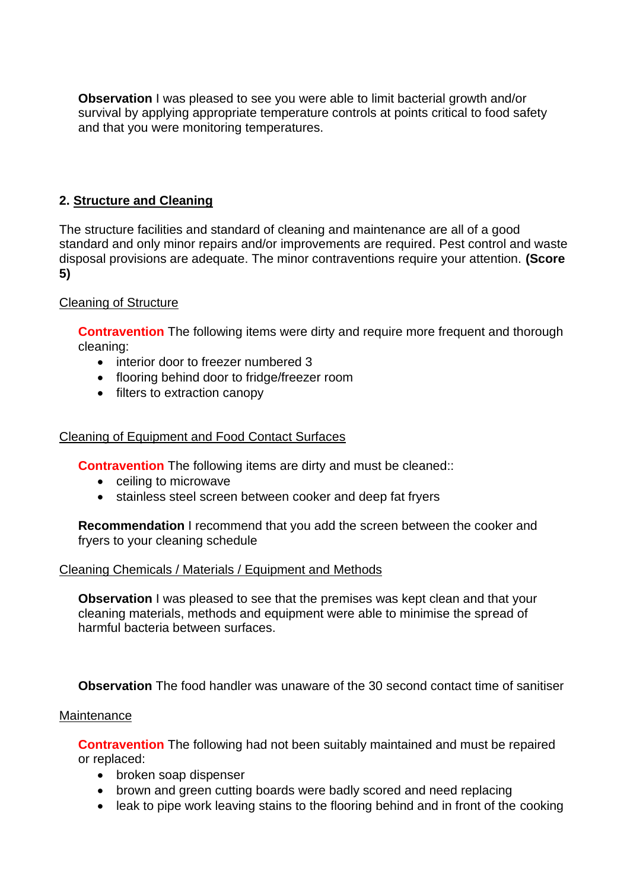**Observation** I was pleased to see you were able to limit bacterial growth and/or survival by applying appropriate temperature controls at points critical to food safety and that you were monitoring temperatures.

### **2. Structure and Cleaning**

 The structure facilities and standard of cleaning and maintenance are all of a good standard and only minor repairs and/or improvements are required. Pest control and waste disposal provisions are adequate. The minor contraventions require your attention. **(Score 5)** 

### Cleaning of Structure

**Contravention** The following items were dirty and require more frequent and thorough cleaning:

- interior door to freezer numbered 3
- flooring behind door to fridge/freezer room
- filters to extraction canopy

### Cleaning of Equipment and Food Contact Surfaces

**Contravention** The following items are dirty and must be cleaned::

- ceiling to microwave
- stainless steel screen between cooker and deep fat fryers

**Recommendation** I recommend that you add the screen between the cooker and fryers to your cleaning schedule

### Cleaning Chemicals / Materials / Equipment and Methods

**Observation** I was pleased to see that the premises was kept clean and that your cleaning materials, methods and equipment were able to minimise the spread of harmful bacteria between surfaces.

**Observation** The food handler was unaware of the 30 second contact time of sanitiser

#### **Maintenance**

**Contravention** The following had not been suitably maintained and must be repaired or replaced:

- broken soap dispenser
- brown and green cutting boards were badly scored and need replacing
- leak to pipe work leaving stains to the flooring behind and in front of the cooking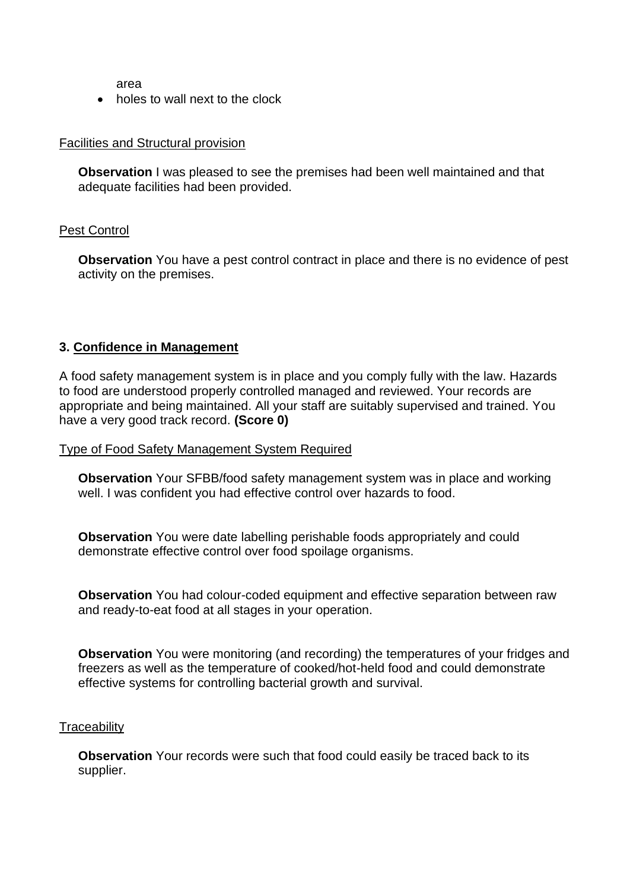area

• holes to wall next to the clock

#### Facilities and Structural provision

 **Observation** I was pleased to see the premises had been well maintained and that adequate facilities had been provided.

### Pest Control

 **Observation** You have a pest control contract in place and there is no evidence of pest activity on the premises.

### **3. Confidence in Management**

 appropriate and being maintained. All your staff are suitably supervised and trained. You A food safety management system is in place and you comply fully with the law. Hazards to food are understood properly controlled managed and reviewed. Your records are have a very good track record. **(Score 0)** 

#### Type of Food Safety Management System Required

**Observation** Your SFBB/food safety management system was in place and working well. I was confident you had effective control over hazards to food.

 demonstrate effective control over food spoilage organisms. **Observation** You were date labelling perishable foods appropriately and could

**Observation** You had colour-coded equipment and effective separation between raw and ready-to-eat food at all stages in your operation.

**Observation** You were monitoring (and recording) the temperatures of your fridges and freezers as well as the temperature of cooked/hot-held food and could demonstrate effective systems for controlling bacterial growth and survival.

#### **Traceability**

**Observation** Your records were such that food could easily be traced back to its supplier.